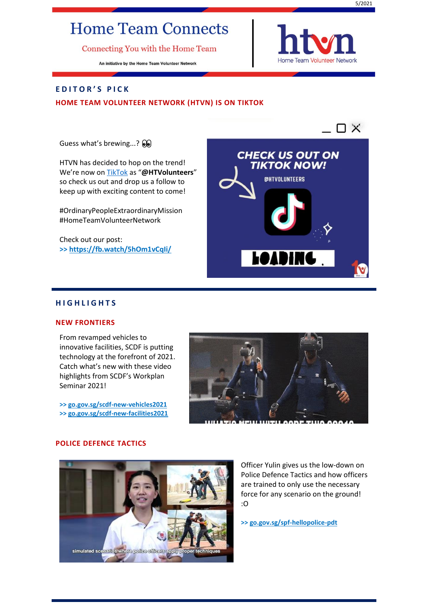# **Home Team Connects**

Connecting You with the Home Team

An initiative by the Home Team Volunteer Network



# **E D I T O R ' S P I C K**

# **HOME TEAM VOLUNTEER NETWORK (HTVN) IS ON TIKTOK**

Guess what's brewing...?  $\odot$ 

HTVN has decided to hop on the trend! We're now on [TikTok](https://vt.tiktok.com/ZSJDy1c6d/) as "**@HTVolunteers**" so check us out and drop us a follow to keep up with exciting content to come!

#OrdinaryPeopleExtraordinaryMission #HomeTeamVolunteerNetwork

Check out our post: **>><https://fb.watch/5hOm1vCqIi/>**



# **H I G H L I G H T S**

# **NEW FRONTIERS**

From revamped vehicles to innovative facilities, SCDF is putting technology at the forefront of 2021. Catch what's new with these video highlights from SCDF's Workplan Seminar 2021!

**>> [go.gov.sg/scdf-new-vehicles2021](https://go.gov.sg/scdf-new-vehicles2021) >> [go.gov.sg/scdf-new-facilities2021](https://go.gov.sg/scdf-new-facilities2021)**



# **POLICE DEFENCE TACTICS**



Officer Yulin gives us the low-down on Police Defence Tactics and how officers are trained to only use the necessary force for any scenario on the ground! :O

**>[> go.gov.sg/spf-hellopolice-pdt](https://go.gov.sg/spf-hellopolice-pdt)**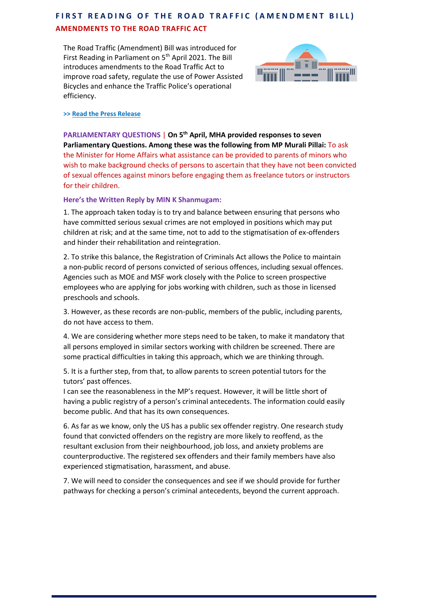# **FIRST READING OF THE ROAD TRAFFIC (AMENDMENT BILL) AMENDMENTS TO THE ROAD TRAFFIC ACT**

The Road Traffic (Amendment) Bill was introduced for First Reading in Parliament on 5<sup>th</sup> April 2021. The Bill introduces amendments to the Road Traffic Act to improve road safety, regulate the use of Power Assisted Bicycles and enhance the Traffic Police's operational efficiency.



**>[> Read the Press Release](https://www.mha.gov.sg/mediaroom/press-releases/amendments-to-the-road-traffic-act)**

**PARLIAMENTARY QUESTIONS** | **On 5 th April, MHA provided responses to seven Parliamentary Questions. Among these was the following from MP Murali Pillai:** To ask the Minister for Home Affairs what assistance can be provided to parents of minors who wish to make background checks of persons to ascertain that they have not been convicted of sexual offences against minors before engaging them as freelance tutors or instructors for their children.

# **Here's the Written Reply by MIN K Shanmugam:**

1. The approach taken today is to try and balance between ensuring that persons who have committed serious sexual crimes are not employed in positions which may put children at risk; and at the same time, not to add to the stigmatisation of ex-offenders and hinder their rehabilitation and reintegration.

2. To strike this balance, the Registration of Criminals Act allows the Police to maintain a non-public record of persons convicted of serious offences, including sexual offences. Agencies such as MOE and MSF work closely with the Police to screen prospective employees who are applying for jobs working with children, such as those in licensed preschools and schools.

3. However, as these records are non-public, members of the public, including parents, do not have access to them.

4. We are considering whether more steps need to be taken, to make it mandatory that all persons employed in similar sectors working with children be screened. There are some practical difficulties in taking this approach, which we are thinking through.

5. It is a further step, from that, to allow parents to screen potential tutors for the tutors' past offences.

I can see the reasonableness in the MP's request. However, it will be little short of having a public registry of a person's criminal antecedents. The information could easily become public. And that has its own consequences.

6. As far as we know, only the US has a public sex offender registry. One research study found that convicted offenders on the registry are more likely to reoffend, as the resultant exclusion from their neighbourhood, job loss, and anxiety problems are counterproductive. The registered sex offenders and their family members have also experienced stigmatisation, harassment, and abuse.

7. We will need to consider the consequences and see if we should provide for further pathways for checking a person's criminal antecedents, beyond the current approach.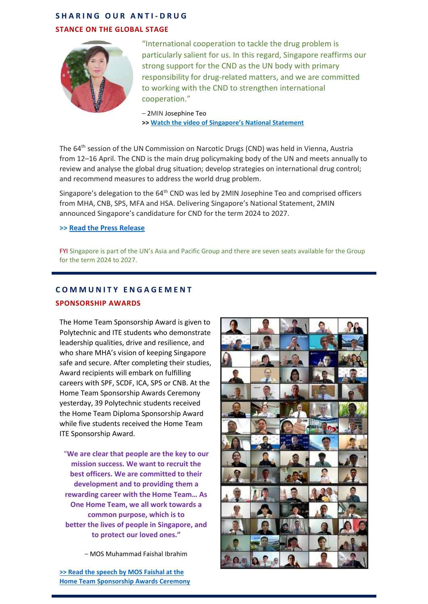# **S H A R I N G O U R A N T I - D R U G**

## **STANCE ON THE GLOBAL STAGE**



"International cooperation to tackle the drug problem is particularly salient for us. In this regard, Singapore reaffirms our strong support for the CND as the UN body with primary responsibility for drug-related matters, and we are committed to working with the CND to strengthen international cooperation."

– 2MIN Josephine Teo **>> [Watch the video of Singapore's National Statement](https://go.gov.sg/mha-64cnd-nationalstatement)**

The 64<sup>th</sup> session of the UN Commission on Narcotic Drugs (CND) was held in Vienna, Austria from 12–16 April. The CND is the main drug policymaking body of the UN and meets annually to review and analyse the global drug situation; develop strategies on international drug control; and recommend measures to address the world drug problem.

Singapore's delegation to the 64<sup>th</sup> CND was led by 2MIN Josephine Teo and comprised officers from MHA, CNB, SPS, MFA and HSA. Delivering Singapore's National Statement, 2MIN announced Singapore's candidature for CND for the term 2024 to 2027.

**>> [Read the Press Release](https://www.mha.gov.sg/mediaroom/press-releases/singapore-announces-its-candidature-for-the-united-nations-commission-on-narcotic-drugs)**

FYI Singapore is part of the UN's Asia and Pacific Group and there are seven seats available for the Group for the term 2024 to 2027.

# **C O M M U N I T Y E N G A G E M E N T**

# **SPONSORSHIP AWARDS**

The Home Team Sponsorship Award is given to Polytechnic and ITE students who demonstrate leadership qualities, drive and resilience, and who share MHA's vision of keeping Singapore safe and secure. After completing their studies, Award recipients will embark on fulfilling careers with SPF, SCDF, ICA, SPS or CNB. At the Home Team Sponsorship Awards Ceremony yesterday, 39 Polytechnic students received the Home Team Diploma Sponsorship Award while five students received the Home Team ITE Sponsorship Award.

"**We are clear that people are the key to our mission success. We want to recruit the best officers. We are committed to their development and to providing them a rewarding career with the Home Team… As One Home Team, we all work towards a common purpose, which is to better the lives of people in Singapore, and to protect our loved ones."**

– MOS Muhammad Faishal Ibrahim

**[>> Read the speech by MOS Faishal at the](https://www.mha.gov.sg/mediaroom/speeches/home-team-sponsorship-award-ceremony-2021-speech-by-assoc-prof-muhammad-faishal-ibrahim-minister-of-state-mha-and-mnd)  [Home Team Sponsorship Awards Ceremony](https://www.mha.gov.sg/mediaroom/speeches/home-team-sponsorship-award-ceremony-2021-speech-by-assoc-prof-muhammad-faishal-ibrahim-minister-of-state-mha-and-mnd)**

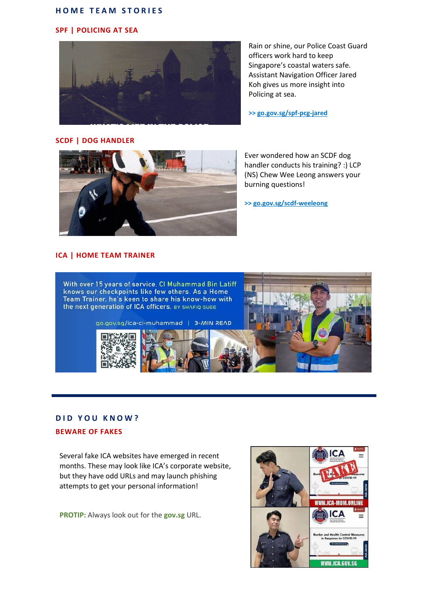#### **HOME TEAM STORIES**

### **SPF | POLICING AT SEA**



Rain or shine, our Police Coast Guard officers work hard to keep Singapore's coastal waters safe. Assistant Navigation Officer Jared Koh gives us more insight into Policing at sea.

**>> [go.gov.sg/spf-pcg-jared](https://go.gov.sg/spf-pcg-jared)**

# **SCDF | DOG HANDLER**



Ever wondered how an SCDF dog handler conducts his training? :) LCP (NS) Chew Wee Leong answers your burning questions!

**>[> go.gov.sg/scdf-weeleong](go.gov.sg/scdf-dog-handler-290321)**

# **ICA | HOME TEAM TRAINER**



#### **DID YOU KNOW?**

#### **BEWARE OF FAKES**

Several fake ICA websites have emerged in recent months. These may look like ICA's corporate website, but they have odd URLs and may launch phishing attempts to get your personal information!

**PROTIP:** Always look out for the **gov.sg** URL.